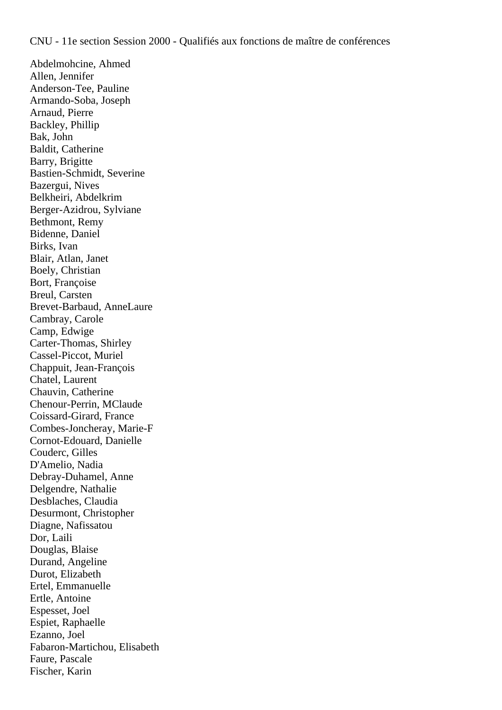Abdelmohcine, Ahmed Allen, Jennifer Anderson-Tee, Pauline Armando-Soba, Joseph Arnaud, Pierre Backley, Phillip Bak, John Baldit, Catherine Barry, Brigitte Bastien-Schmidt, Severine Bazergui, Nives Belkheiri, Abdelkrim Berger-Azidrou, Sylviane Bethmont, Remy Bidenne, Daniel Birks, Ivan Blair, Atlan, Janet Boely, Christian Bort, Françoise Breul, Carsten Brevet-Barbaud, AnneLaure Cambray, Carole Camp, Edwige Carter-Thomas, Shirley Cassel-Piccot, Muriel Chappuit, Jean-François Chatel, Laurent Chauvin, Catherine Chenour-Perrin, MClaude Coissard-Girard, France Combes-Joncheray, Marie-F Cornot-Edouard, Danielle Couderc, Gilles D'Amelio, Nadia Debray-Duhamel, Anne Delgendre, Nathalie Desblaches, Claudia Desurmont, Christopher Diagne, Nafissatou Dor, Laili Douglas, Blaise Durand, Angeline Durot, Elizabeth Ertel, Emmanuelle Ertle, Antoine Espesset, Joel Espiet, Raphaelle Ezanno, Joel Fabaron-Martichou, Elisabeth Faure, Pascale Fischer, Karin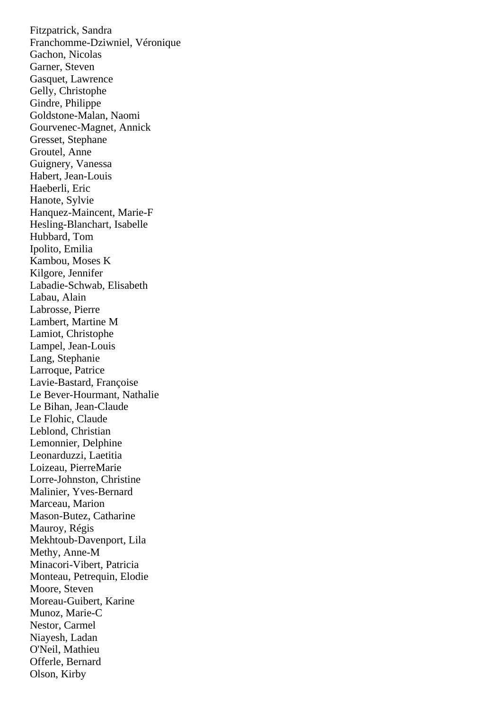Fitzpatrick, Sandra Franchomme-Dziwniel, Véronique Gachon, Nicolas Garner, Steven Gasquet, Lawrence Gelly, Christophe Gindre, Philippe Goldstone-Malan, Naomi Gourvenec-Magnet, Annick Gresset, Stephane Groutel, Anne Guignery, Vanessa Habert, Jean-Louis Haeberli, Eric Hanote, Sylvie Hanquez-Maincent, Marie-F Hesling-Blanchart, Isabelle Hubbard, Tom Ipolito, Emilia Kambou, Moses K Kilgore, Jennifer Labadie-Schwab, Elisabeth Labau, Alain Labrosse, Pierre Lambert, Martine M Lamiot, Christophe Lampel, Jean-Louis Lang, Stephanie Larroque, Patrice Lavie-Bastard, Françoise Le Bever-Hourmant, Nathalie Le Bihan, Jean-Claude Le Flohic, Claude Leblond, Christian Lemonnier, Delphine Leonarduzzi, Laetitia Loizeau, PierreMarie Lorre-Johnston, Christine Malinier, Yves-Bernard Marceau, Marion Mason-Butez, Catharine Mauroy, Régis Mekhtoub-Davenport, Lila Methy, Anne-M Minacori-Vibert, Patricia Monteau, Petrequin, Elodie Moore, Steven Moreau-Guibert, Karine Munoz, Marie-C Nestor, Carmel Niayesh, Ladan O'Neil, Mathieu Offerle, Bernard Olson, Kirby